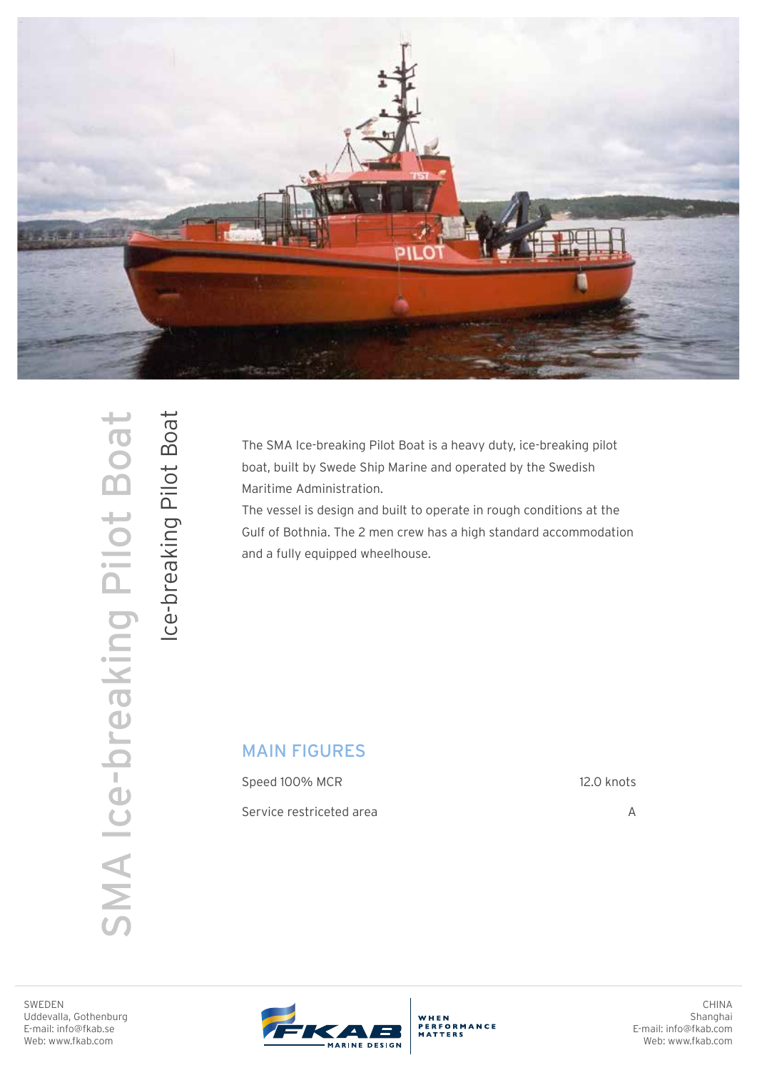

SMA Ice-breaking Pilot Boat Ice-breaking Pilot Boat SMA Ice-breaking Pilot Boat

Ice-breaking Pilot Boat

The SMA Ice-breaking Pilot Boat is a heavy duty, ice-breaking pilot boat, built by Swede Ship Marine and operated by the Swedish Maritime Administration.

The vessel is design and built to operate in rough conditions at the Gulf of Bothnia. The 2 men crew has a high standard accommodation and a fully equipped wheelhouse.

## MAIN FIGURES

Speed 100% MCR Service restriceted area 12.0 knots

A